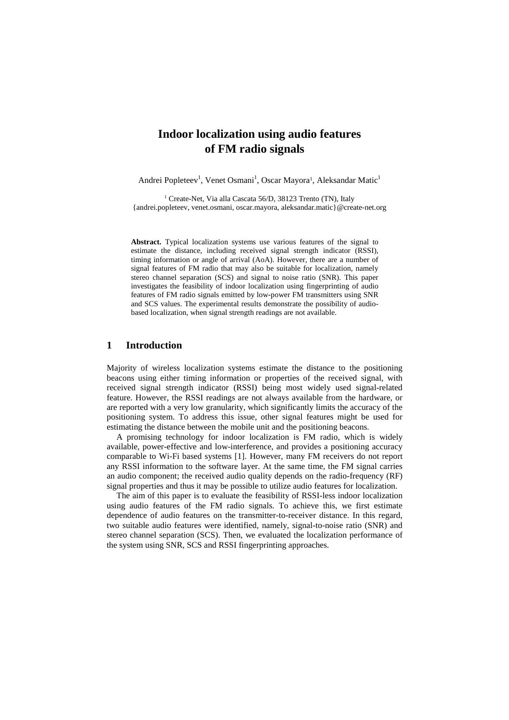# **Indoor localization using audio features of FM radio signals**

Andrei Popleteev<sup>1</sup>, Venet Osmani<sup>1</sup>, Oscar Mayora<sup>1</sup>, Aleksandar Matic<sup>1</sup>

1 Create-Net, Via alla Cascata 56/D, 38123 Trento (TN), Italy {andrei.popleteev, venet.osmani, oscar.mayora, aleksandar.matic}@create-net.org

**Abstract.** Typical localization systems use various features of the signal to estimate the distance, including received signal strength indicator (RSSI), timing information or angle of arrival (AoA). However, there are a number of signal features of FM radio that may also be suitable for localization, namely stereo channel separation (SCS) and signal to noise ratio (SNR). This paper investigates the feasibility of indoor localization using fingerprinting of audio features of FM radio signals emitted by low-power FM transmitters using SNR and SCS values. The experimental results demonstrate the possibility of audiobased localization, when signal strength readings are not available.

#### **1 Introduction**

Majority of wireless localization systems estimate the distance to the positioning beacons using either timing information or properties of the received signal, with received signal strength indicator (RSSI) being most widely used signal-related feature. However, the RSSI readings are not always available from the hardware, or are reported with a very low granularity, which significantly limits the accuracy of the positioning system. To address this issue, other signal features might be used for estimating the distance between the mobile unit and the positioning beacons.

A promising technology for indoor localization is FM radio, which is widely available, power-effective and low-interference, and provides a positioning accuracy comparable to Wi-Fi based systems [1]. However, many FM receivers do not report any RSSI information to the software layer. At the same time, the FM signal carries an audio component; the received audio quality depends on the radio-frequency (RF) signal properties and thus it may be possible to utilize audio features for localization.

The aim of this paper is to evaluate the feasibility of RSSI-less indoor localization using audio features of the FM radio signals. To achieve this, we first estimate dependence of audio features on the transmitter-to-receiver distance. In this regard, two suitable audio features were identified, namely, signal-to-noise ratio (SNR) and stereo channel separation (SCS). Then, we evaluated the localization performance of the system using SNR, SCS and RSSI fingerprinting approaches.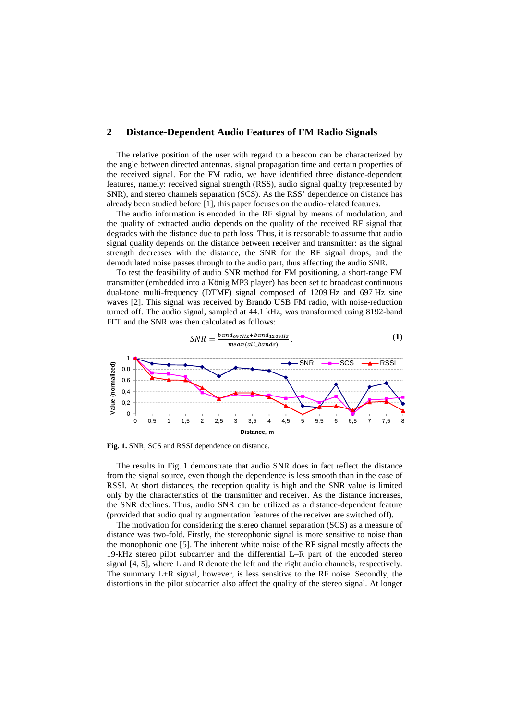## **2 Distance-Dependent Audio Features of FM Radio Signals**

The relative position of the user with regard to a beacon can be characterized by the angle between directed antennas, signal propagation time and certain properties of the received signal. For the FM radio, we have identified three distance-dependent features, namely: received signal strength (RSS), audio signal quality (represented by SNR), and stereo channels separation (SCS). As the RSS' dependence on distance has already been studied before [1], this paper focuses on the audio-related features.

The audio information is encoded in the RF signal by means of modulation, and the quality of extracted audio depends on the quality of the received RF signal that degrades with the distance due to path loss. Thus, it is reasonable to assume that audio signal quality depends on the distance between receiver and transmitter: as the signal strength decreases with the distance, the SNR for the RF signal drops, and the demodulated noise passes through to the audio part, thus affecting the audio SNR.

To test the feasibility of audio SNR method for FM positioning, a short-range FM transmitter (embedded into a König MP3 player) has been set to broadcast continuous dual-tone multi-frequency (DTMF) signal composed of 1209 Hz and 697 Hz sine waves [2]. This signal was received by Brando USB FM radio, with noise-reduction turned off. The audio signal, sampled at 44.1 kHz, was transformed using 8192-band FFT and the SNR was then calculated as follows:



**Fig. 1.** SNR, SCS and RSSI dependence on distance.

The results in Fig. 1 demonstrate that audio SNR does in fact reflect the distance from the signal source, even though the dependence is less smooth than in the case of RSSI. At short distances, the reception quality is high and the SNR value is limited only by the characteristics of the transmitter and receiver. As the distance increases, the SNR declines. Thus, audio SNR can be utilized as a distance-dependent feature (provided that audio quality augmentation features of the receiver are switched off).

The motivation for considering the stereo channel separation (SCS) as a measure of distance was two-fold. Firstly, the stereophonic signal is more sensitive to noise than the monophonic one [5]. The inherent white noise of the RF signal mostly affects the 19-kHz stereo pilot subcarrier and the differential L–R part of the encoded stereo signal [4, 5], where L and R denote the left and the right audio channels, respectively. The summary L+R signal, however, is less sensitive to the RF noise. Secondly, the distortions in the pilot subcarrier also affect the quality of the stereo signal. At longer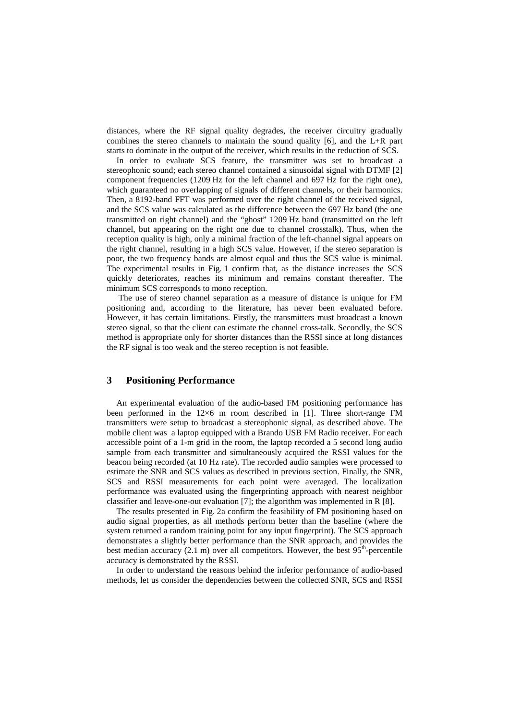distances, where the RF signal quality degrades, the receiver circuitry gradually combines the stereo channels to maintain the sound quality [6], and the L+R part starts to dominate in the output of the receiver, which results in the reduction of SCS.

In order to evaluate SCS feature, the transmitter was set to broadcast a stereophonic sound; each stereo channel contained a sinusoidal signal with DTMF [2] component frequencies (1209 Hz for the left channel and 697 Hz for the right one), which guaranteed no overlapping of signals of different channels, or their harmonics. Then, a 8192-band FFT was performed over the right channel of the received signal, and the SCS value was calculated as the difference between the 697 Hz band (the one transmitted on right channel) and the "ghost" 1209 Hz band (transmitted on the left channel, but appearing on the right one due to channel crosstalk). Thus, when the reception quality is high, only a minimal fraction of the left-channel signal appears on the right channel, resulting in a high SCS value. However, if the stereo separation is poor, the two frequency bands are almost equal and thus the SCS value is minimal. The experimental results in Fig. 1 confirm that, as the distance increases the SCS quickly deteriorates, reaches its minimum and remains constant thereafter. The minimum SCS corresponds to mono reception.

 The use of stereo channel separation as a measure of distance is unique for FM positioning and, according to the literature, has never been evaluated before. However, it has certain limitations. Firstly, the transmitters must broadcast a known stereo signal, so that the client can estimate the channel cross-talk. Secondly, the SCS method is appropriate only for shorter distances than the RSSI since at long distances the RF signal is too weak and the stereo reception is not feasible.

## **3 Positioning Performance**

An experimental evaluation of the audio-based FM positioning performance has been performed in the 12×6 m room described in [1]. Three short-range FM transmitters were setup to broadcast a stereophonic signal, as described above. The mobile client was a laptop equipped with a Brando USB FM Radio receiver. For each accessible point of a 1-m grid in the room, the laptop recorded a 5 second long audio sample from each transmitter and simultaneously acquired the RSSI values for the beacon being recorded (at 10 Hz rate). The recorded audio samples were processed to estimate the SNR and SCS values as described in previous section. Finally, the SNR, SCS and RSSI measurements for each point were averaged. The localization performance was evaluated using the fingerprinting approach with nearest neighbor classifier and leave-one-out evaluation [7]; the algorithm was implemented in R [8].

The results presented in Fig. 2a confirm the feasibility of FM positioning based on audio signal properties, as all methods perform better than the baseline (where the system returned a random training point for any input fingerprint). The SCS approach demonstrates a slightly better performance than the SNR approach, and provides the best median accuracy  $(2.1 \text{ m})$  over all competitors. However, the best 95<sup>th</sup>-percentile accuracy is demonstrated by the RSSI.

In order to understand the reasons behind the inferior performance of audio-based methods, let us consider the dependencies between the collected SNR, SCS and RSSI